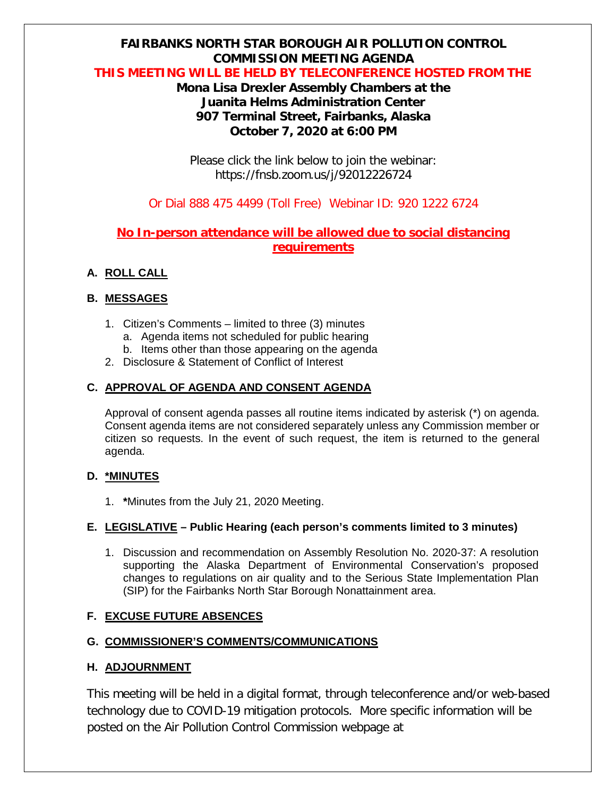# **FAIRBANKS NORTH STAR BOROUGH AIR POLLUTION CONTROL COMMISSION MEETING AGENDA**

#### **THIS MEETING WILL BE HELD BY TELECONFERENCE HOSTED FROM THE**

## **Mona Lisa Drexler Assembly Chambers at the Juanita Helms Administration Center 907 Terminal Street, Fairbanks, Alaska October 7, 2020 at 6:00 PM**

Please click the link below to join the webinar: https://fnsb.zoom.us/j/92012226724

### Or Dial 888 475 4499 (Toll Free) Webinar ID: 920 1222 6724

## **No In-person attendance will be allowed due to social distancing requirements**

### **A. ROLL CALL**

### **B. MESSAGES**

- 1. Citizen's Comments limited to three (3) minutes
	- a. Agenda items not scheduled for public hearing
	- b. Items other than those appearing on the agenda
- 2. Disclosure & Statement of Conflict of Interest

### **C. APPROVAL OF AGENDA AND CONSENT AGENDA**

Approval of consent agenda passes all routine items indicated by asterisk (\*) on agenda. Consent agenda items are not considered separately unless any Commission member or citizen so requests. In the event of such request, the item is returned to the general agenda.

### **D. \*MINUTES**

1. **\***Minutes from the July 21, 2020 Meeting.

### **E. LEGISLATIVE – Public Hearing (each person's comments limited to 3 minutes)**

1. Discussion and recommendation on Assembly Resolution No. 2020-37: A resolution supporting the Alaska Department of Environmental Conservation's proposed changes to regulations on air quality and to the Serious State Implementation Plan (SIP) for the Fairbanks North Star Borough Nonattainment area.

### **F. EXCUSE FUTURE ABSENCES**

### **G. COMMISSIONER'S COMMENTS/COMMUNICATIONS**

### **H. ADJOURNMENT**

This meeting will be held in a digital format, through teleconference and/or web-based technology due to COVID-19 mitigation protocols. More specific information will be posted on the Air Pollution Control Commission webpage at